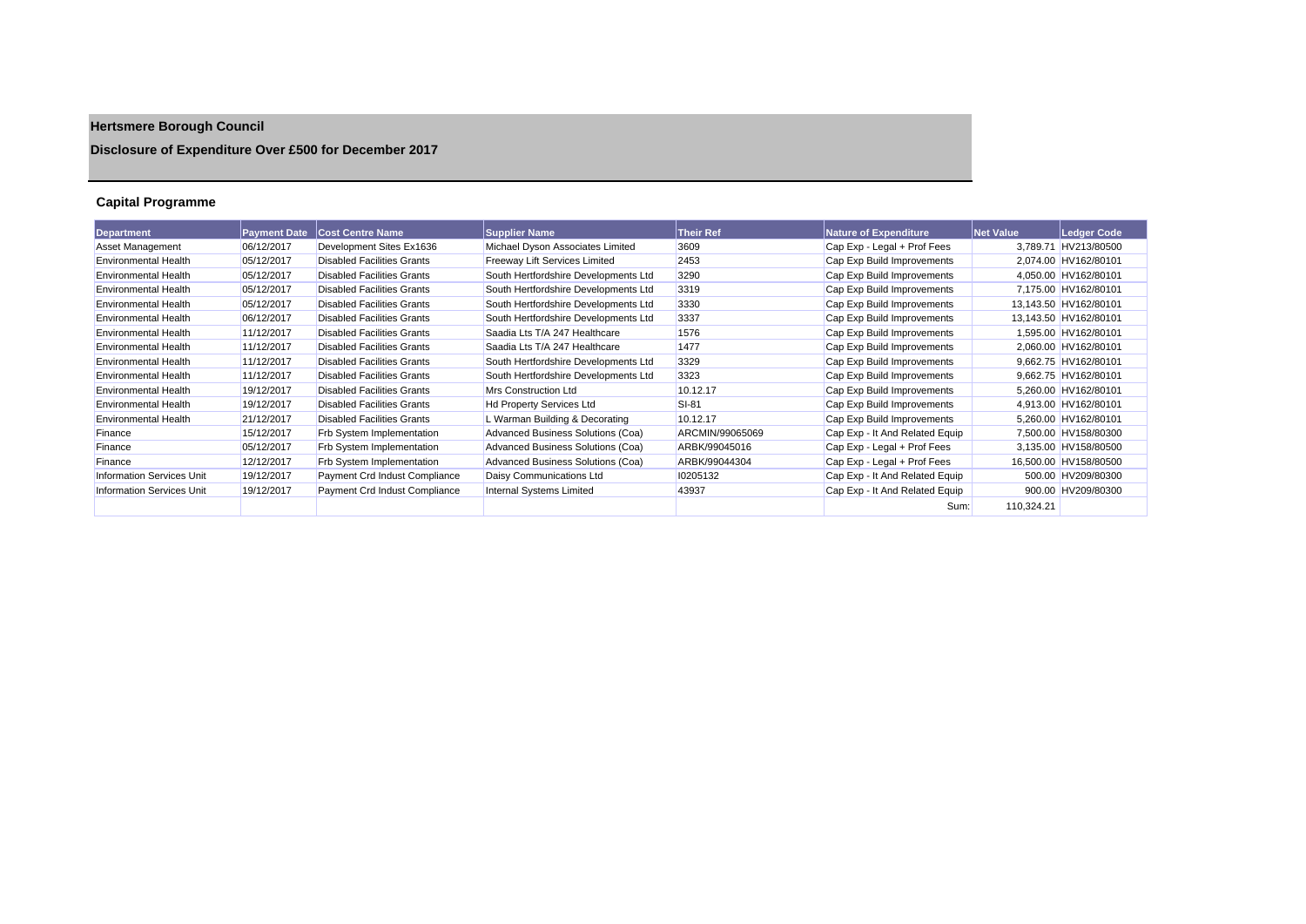# **Hertsmere Borough Council**

### **Disclosure of Expenditure Over £500 for December 2017**

### **Capital Programme**

| Department                       | <b>Payment Date</b> | <b>Cost Centre Name</b>           | <b>Supplier Name</b>                 | <b>Their Ref</b> | <b>Nature of Expenditure</b>   | <b>Net Value</b> | Ledger Code           |
|----------------------------------|---------------------|-----------------------------------|--------------------------------------|------------------|--------------------------------|------------------|-----------------------|
| Asset Management                 | 06/12/2017          | Development Sites Ex1636          | Michael Dyson Associates Limited     | 3609             | Cap Exp - Legal + Prof Fees    | 3.789.71         | HV213/80500           |
| <b>Environmental Health</b>      | 05/12/2017          | <b>Disabled Facilities Grants</b> | <b>Freeway Lift Services Limited</b> | 2453             | Cap Exp Build Improvements     |                  | 2,074.00 HV162/80101  |
| <b>Environmental Health</b>      | 05/12/2017          | <b>Disabled Facilities Grants</b> | South Hertfordshire Developments Ltd | 3290             | Cap Exp Build Improvements     |                  | 4,050.00 HV162/80101  |
| <b>Environmental Health</b>      | 05/12/2017          | <b>Disabled Facilities Grants</b> | South Hertfordshire Developments Ltd | 3319             | Cap Exp Build Improvements     |                  | 7,175.00 HV162/80101  |
| <b>Environmental Health</b>      | 05/12/2017          | <b>Disabled Facilities Grants</b> | South Hertfordshire Developments Ltd | 3330             | Cap Exp Build Improvements     |                  | 13,143.50 HV162/80101 |
| <b>Environmental Health</b>      | 06/12/2017          | <b>Disabled Facilities Grants</b> | South Hertfordshire Developments Ltd | 3337             | Cap Exp Build Improvements     |                  | 13,143.50 HV162/80101 |
| <b>Environmental Health</b>      | 11/12/2017          | <b>Disabled Facilities Grants</b> | Saadia Lts T/A 247 Healthcare        | 1576             | Cap Exp Build Improvements     |                  | 1,595.00 HV162/80101  |
| <b>Environmental Health</b>      | 11/12/2017          | <b>Disabled Facilities Grants</b> | Saadia Lts T/A 247 Healthcare        | 1477             | Cap Exp Build Improvements     |                  | 2,060.00 HV162/80101  |
| <b>Environmental Health</b>      | 11/12/2017          | <b>Disabled Facilities Grants</b> | South Hertfordshire Developments Ltd | 3329             | Cap Exp Build Improvements     |                  | 9.662.75 HV162/80101  |
| <b>Environmental Health</b>      | 11/12/2017          | <b>Disabled Facilities Grants</b> | South Hertfordshire Developments Ltd | 3323             | Cap Exp Build Improvements     |                  | 9.662.75 HV162/80101  |
| <b>Environmental Health</b>      | 19/12/2017          | <b>Disabled Facilities Grants</b> | Mrs Construction Ltd                 | 10.12.17         | Cap Exp Build Improvements     |                  | 5,260.00 HV162/80101  |
| <b>Environmental Health</b>      | 19/12/2017          | <b>Disabled Facilities Grants</b> | <b>Hd Property Services Ltd</b>      | SI-81            | Cap Exp Build Improvements     |                  | 4,913.00 HV162/80101  |
| <b>Environmental Health</b>      | 21/12/2017          | <b>Disabled Facilities Grants</b> | L Warman Building & Decorating       | 10.12.17         | Cap Exp Build Improvements     |                  | 5.260.00 HV162/80101  |
| Finance                          | 15/12/2017          | <b>Frb System Implementation</b>  | Advanced Business Solutions (Coa)    | ARCMIN/99065069  | Cap Exp - It And Related Equip |                  | 7.500.00 HV158/80300  |
| Finance                          | 05/12/2017          | <b>Frb System Implementation</b>  | Advanced Business Solutions (Coa)    | ARBK/99045016    | Cap Exp - Legal + Prof Fees    |                  | 3,135.00 HV158/80500  |
| Finance                          | 12/12/2017          | Frb System Implementation         | Advanced Business Solutions (Coa)    | ARBK/99044304    | Cap Exp - Legal + Prof Fees    |                  | 16,500.00 HV158/80500 |
| <b>Information Services Unit</b> | 19/12/2017          | Payment Crd Indust Compliance     | Daisy Communications Ltd             | 10205132         | Cap Exp - It And Related Equip |                  | 500.00 HV209/80300    |
| <b>Information Services Unit</b> | 19/12/2017          | Payment Crd Indust Compliance     | <b>Internal Systems Limited</b>      | 43937            | Cap Exp - It And Related Equip |                  | 900.00 HV209/80300    |
|                                  |                     |                                   |                                      |                  | Sum:                           | 110.324.21       |                       |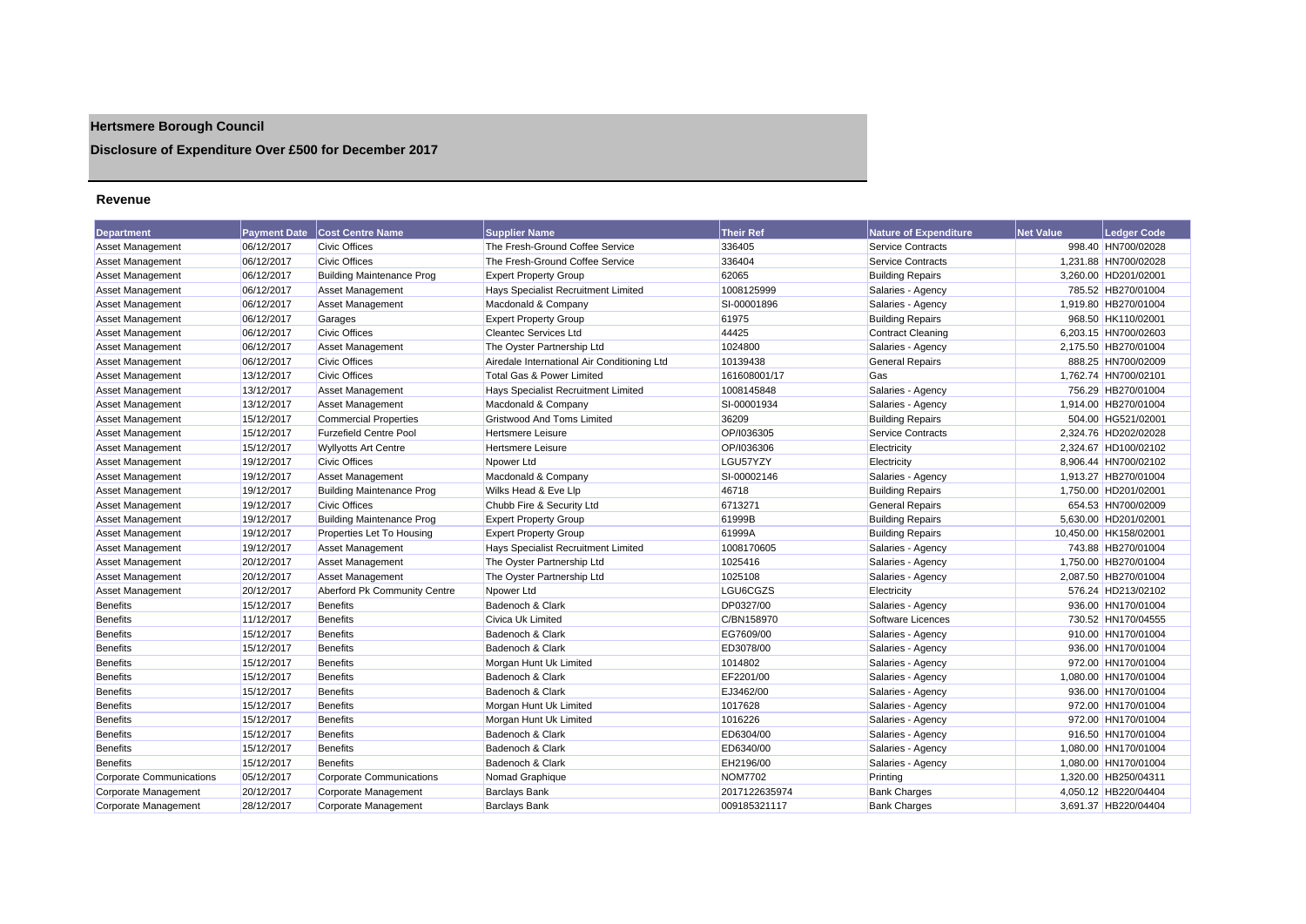## **Hertsmere Borough Council**

**Disclosure of Expenditure Over £500 for December 2017**

#### **Revenue**

| <b>Department</b>               | <b>Payment Date</b> | <b>Cost Centre Name</b>          | <b>Supplier Name</b>                        | <b>Their Ref</b> | <b>Nature of Expenditure</b> | <b>Net Value</b> | <b>Ledger Code</b>    |
|---------------------------------|---------------------|----------------------------------|---------------------------------------------|------------------|------------------------------|------------------|-----------------------|
| <b>Asset Management</b>         | 06/12/2017          | <b>Civic Offices</b>             | The Fresh-Ground Coffee Service             | 336405           | Service Contracts            |                  | 998.40 HN700/02028    |
| Asset Management                | 06/12/2017          | <b>Civic Offices</b>             | The Fresh-Ground Coffee Service             | 336404           | Service Contracts            |                  | 1,231.88 HN700/02028  |
| Asset Management                | 06/12/2017          | <b>Building Maintenance Prog</b> | <b>Expert Property Group</b>                | 62065            | <b>Building Repairs</b>      |                  | 3,260.00 HD201/02001  |
| Asset Management                | 06/12/2017          | <b>Asset Management</b>          | Hays Specialist Recruitment Limited         | 1008125999       | Salaries - Agency            |                  | 785.52 HB270/01004    |
| Asset Management                | 06/12/2017          | <b>Asset Management</b>          | Macdonald & Company                         | SI-00001896      | Salaries - Agency            |                  | 1.919.80 HB270/01004  |
| <b>Asset Management</b>         | 06/12/2017          | Garages                          | <b>Expert Property Group</b>                | 61975            | <b>Building Repairs</b>      |                  | 968.50 HK110/02001    |
| <b>Asset Management</b>         | 06/12/2017          | <b>Civic Offices</b>             | <b>Cleantec Services Ltd</b>                | 44425            | Contract Cleaning            |                  | 6,203.15 HN700/02603  |
| Asset Management                | 06/12/2017          | <b>Asset Management</b>          | The Oyster Partnership Ltd                  | 1024800          | Salaries - Agency            |                  | 2,175.50 HB270/01004  |
| <b>Asset Management</b>         | 06/12/2017          | <b>Civic Offices</b>             | Airedale International Air Conditioning Ltd | 10139438         | <b>General Repairs</b>       |                  | 888.25 HN700/02009    |
| <b>Asset Management</b>         | 13/12/2017          | <b>Civic Offices</b>             | Total Gas & Power Limited                   | 161608001/17     | Gas                          |                  | 1,762.74 HN700/02101  |
| Asset Management                | 13/12/2017          | <b>Asset Management</b>          | Hays Specialist Recruitment Limited         | 1008145848       | Salaries - Agency            |                  | 756.29 HB270/01004    |
| <b>Asset Management</b>         | 13/12/2017          | <b>Asset Management</b>          | Macdonald & Company                         | SI-00001934      | Salaries - Agency            |                  | 1,914.00 HB270/01004  |
| Asset Management                | 15/12/2017          | Commercial Properties            | <b>Gristwood And Toms Limited</b>           | 36209            | <b>Building Repairs</b>      |                  | 504.00 HG521/02001    |
| Asset Management                | 15/12/2017          | <b>Furzefield Centre Pool</b>    | <b>Hertsmere Leisure</b>                    | OP/I036305       | Service Contracts            |                  | 2,324.76 HD202/02028  |
| Asset Management                | 15/12/2017          | <b>Wyllyotts Art Centre</b>      | <b>Hertsmere Leisure</b>                    | OP/I036306       | Electricity                  |                  | 2,324.67 HD100/02102  |
| Asset Management                | 19/12/2017          | <b>Civic Offices</b>             | Npower Ltd                                  | LGU57YZY         | Electricity                  |                  | 8.906.44 HN700/02102  |
| <b>Asset Management</b>         | 19/12/2017          | <b>Asset Management</b>          | Macdonald & Company                         | SI-00002146      | Salaries - Agency            |                  | 1,913.27 HB270/01004  |
| <b>Asset Management</b>         | 19/12/2017          | <b>Building Maintenance Prog</b> | Wilks Head & Eve Llp                        | 46718            | <b>Building Repairs</b>      |                  | 1,750.00 HD201/02001  |
| Asset Management                | 19/12/2017          | <b>Civic Offices</b>             | Chubb Fire & Security Ltd                   | 6713271          | <b>General Repairs</b>       |                  | 654.53 HN700/02009    |
| Asset Management                | 19/12/2017          | <b>Building Maintenance Prog</b> | <b>Expert Property Group</b>                | 61999B           | <b>Building Repairs</b>      |                  | 5,630.00 HD201/02001  |
| <b>Asset Management</b>         | 19/12/2017          | Properties Let To Housing        | <b>Expert Property Group</b>                | 61999A           | <b>Building Repairs</b>      |                  | 10,450.00 HK158/02001 |
| <b>Asset Management</b>         | 19/12/2017          | <b>Asset Management</b>          | Hays Specialist Recruitment Limited         | 1008170605       | Salaries - Agency            |                  | 743.88 HB270/01004    |
| <b>Asset Management</b>         | 20/12/2017          | <b>Asset Management</b>          | The Oyster Partnership Ltd                  | 1025416          | Salaries - Agency            |                  | 1,750.00 HB270/01004  |
| <b>Asset Management</b>         | 20/12/2017          | <b>Asset Management</b>          | The Oyster Partnership Ltd                  | 1025108          | Salaries - Agency            |                  | 2,087.50 HB270/01004  |
| Asset Management                | 20/12/2017          | Aberford Pk Community Centre     | Npower Ltd                                  | LGU6CGZS         | Electricity                  |                  | 576.24 HD213/02102    |
| Benefits                        | 15/12/2017          | <b>Benefits</b>                  | Badenoch & Clark                            | DP0327/00        | Salaries - Agency            |                  | 936.00 HN170/01004    |
| <b>Benefits</b>                 | 11/12/2017          | <b>Benefits</b>                  | Civica Uk Limited                           | C/BN158970       | Software Licences            |                  | 730.52 HN170/04555    |
| <b>Benefits</b>                 | 15/12/2017          | <b>Benefits</b>                  | Badenoch & Clark                            | EG7609/00        | Salaries - Agency            |                  | 910.00 HN170/01004    |
| <b>Benefits</b>                 | 15/12/2017          | <b>Benefits</b>                  | Badenoch & Clark                            | ED3078/00        | Salaries - Agency            |                  | 936.00 HN170/01004    |
| <b>Benefits</b>                 | 15/12/2017          | <b>Benefits</b>                  | Morgan Hunt Uk Limited                      | 1014802          | Salaries - Agency            |                  | 972.00 HN170/01004    |
| <b>Benefits</b>                 | 15/12/2017          | <b>Benefits</b>                  | Badenoch & Clark                            | EF2201/00        | Salaries - Agency            |                  | 1,080.00 HN170/01004  |
| <b>Benefits</b>                 | 15/12/2017          | <b>Benefits</b>                  | Badenoch & Clark                            | EJ3462/00        | Salaries - Agency            |                  | 936.00 HN170/01004    |
| <b>Benefits</b>                 | 15/12/2017          | <b>Benefits</b>                  | Morgan Hunt Uk Limited                      | 1017628          | Salaries - Agency            |                  | 972.00 HN170/01004    |
| <b>Benefits</b>                 | 15/12/2017          | <b>Benefits</b>                  | Morgan Hunt Uk Limited                      | 1016226          | Salaries - Agency            |                  | 972.00 HN170/01004    |
| <b>Benefits</b>                 | 15/12/2017          | <b>Benefits</b>                  | Badenoch & Clark                            | ED6304/00        | Salaries - Agency            |                  | 916.50 HN170/01004    |
| Benefits                        | 15/12/2017          | <b>Benefits</b>                  | Badenoch & Clark                            | ED6340/00        | Salaries - Agency            |                  | 1,080.00 HN170/01004  |
| <b>Benefits</b>                 | 15/12/2017          | <b>Benefits</b>                  | Badenoch & Clark                            | EH2196/00        | Salaries - Agency            |                  | 1,080.00 HN170/01004  |
| <b>Corporate Communications</b> | 05/12/2017          | <b>Corporate Communications</b>  | Nomad Graphique                             | <b>NOM7702</b>   | Printing                     |                  | 1,320.00 HB250/04311  |
| Corporate Management            | 20/12/2017          | Corporate Management             | <b>Barclays Bank</b>                        | 2017122635974    | <b>Bank Charges</b>          |                  | 4.050.12 HB220/04404  |
| Corporate Management            | 28/12/2017          | Corporate Management             | <b>Barclays Bank</b>                        | 009185321117     | <b>Bank Charges</b>          |                  | 3.691.37 HB220/04404  |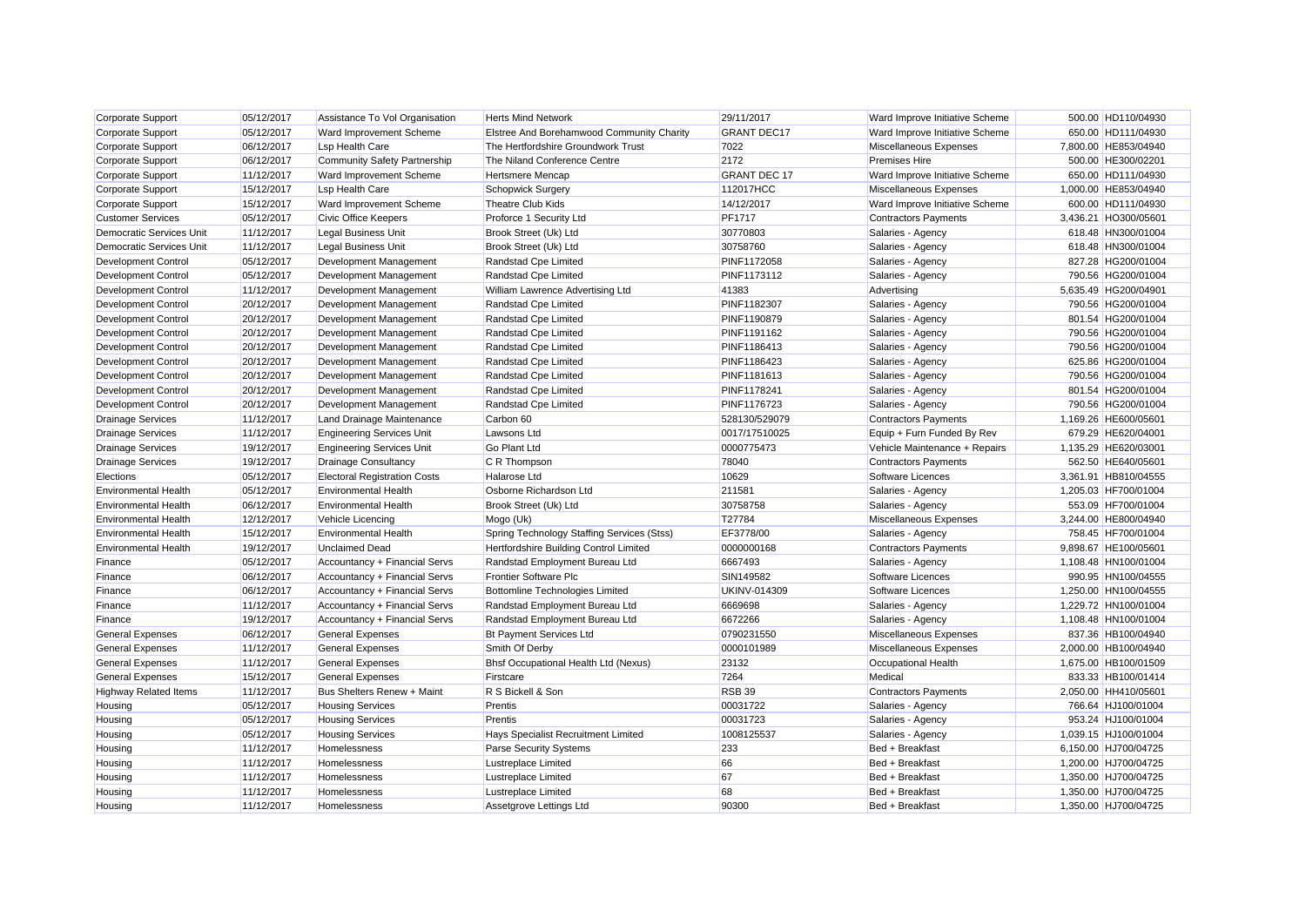| Corporate Support               | 05/12/2017 | Assistance To Vol Organisation      | <b>Herts Mind Network</b>                  | 29/11/2017          | Ward Improve Initiative Scheme | 500.00 HD110/04930   |
|---------------------------------|------------|-------------------------------------|--------------------------------------------|---------------------|--------------------------------|----------------------|
| Corporate Support               | 05/12/2017 | Ward Improvement Scheme             | Elstree And Borehamwood Community Charity  | <b>GRANT DEC17</b>  | Ward Improve Initiative Scheme | 650.00 HD111/04930   |
| Corporate Support               | 06/12/2017 | <b>Lsp Health Care</b>              | The Hertfordshire Groundwork Trust         | 7022                | Miscellaneous Expenses         | 7,800.00 HE853/04940 |
| Corporate Support               | 06/12/2017 | <b>Community Safety Partnership</b> | The Niland Conference Centre               | 2172                | <b>Premises Hire</b>           | 500.00 HE300/02201   |
| <b>Corporate Support</b>        | 11/12/2017 | Ward Improvement Scheme             | <b>Hertsmere Mencap</b>                    | <b>GRANT DEC 17</b> | Ward Improve Initiative Scheme | 650.00 HD111/04930   |
| <b>Corporate Support</b>        | 15/12/2017 | <b>Lsp Health Care</b>              | <b>Schopwick Surgery</b>                   | 112017HCC           | Miscellaneous Expenses         | 1,000.00 HE853/04940 |
| Corporate Support               | 15/12/2017 | Ward Improvement Scheme             | <b>Theatre Club Kids</b>                   | 14/12/2017          | Ward Improve Initiative Scheme | 600.00 HD111/04930   |
| <b>Customer Services</b>        | 05/12/2017 | Civic Office Keepers                | Proforce 1 Security Ltd                    | <b>PF1717</b>       | <b>Contractors Payments</b>    | 3,436.21 HO300/05601 |
| <b>Democratic Services Unit</b> | 11/12/2017 | <b>Legal Business Unit</b>          | Brook Street (Uk) Ltd                      | 30770803            | Salaries - Agency              | 618.48 HN300/01004   |
| <b>Democratic Services Unit</b> | 11/12/2017 | <b>Legal Business Unit</b>          | Brook Street (Uk) Ltd                      | 30758760            | Salaries - Agency              | 618.48 HN300/01004   |
| <b>Development Control</b>      | 05/12/2017 | Development Management              | Randstad Cpe Limited                       | PINF1172058         | Salaries - Agency              | 827.28 HG200/01004   |
| <b>Development Control</b>      | 05/12/2017 | Development Management              | Randstad Cpe Limited                       | PINF1173112         | Salaries - Agency              | 790.56 HG200/01004   |
| <b>Development Control</b>      | 11/12/2017 | Development Management              | William Lawrence Advertising Ltd           | 41383               | Advertising                    | 5,635.49 HG200/04901 |
| <b>Development Control</b>      | 20/12/2017 | Development Management              | Randstad Cpe Limited                       | PINF1182307         | Salaries - Agency              | 790.56 HG200/01004   |
| <b>Development Control</b>      | 20/12/2017 | Development Management              | Randstad Cpe Limited                       | PINF1190879         | Salaries - Agency              | 801.54 HG200/01004   |
| <b>Development Control</b>      | 20/12/2017 | Development Management              | Randstad Cpe Limited                       | PINF1191162         | Salaries - Agency              | 790.56 HG200/01004   |
| <b>Development Control</b>      | 20/12/2017 | Development Management              | Randstad Cpe Limited                       | PINF1186413         | Salaries - Agency              | 790.56 HG200/01004   |
| <b>Development Control</b>      | 20/12/2017 | Development Management              | Randstad Cpe Limited                       | PINF1186423         | Salaries - Agency              | 625.86 HG200/01004   |
| Development Control             | 20/12/2017 | Development Management              | Randstad Cpe Limited                       | PINF1181613         | Salaries - Agency              | 790.56 HG200/01004   |
| <b>Development Control</b>      | 20/12/2017 | Development Management              | Randstad Cpe Limited                       | PINF1178241         | Salaries - Agency              | 801.54 HG200/01004   |
| <b>Development Control</b>      | 20/12/2017 | Development Management              | Randstad Cpe Limited                       | PINF1176723         | Salaries - Agency              | 790.56 HG200/01004   |
| <b>Drainage Services</b>        | 11/12/2017 | Land Drainage Maintenance           | Carbon 60                                  | 528130/529079       | <b>Contractors Payments</b>    | 1,169.26 HE600/05601 |
| <b>Drainage Services</b>        | 11/12/2017 | <b>Engineering Services Unit</b>    | <b>Lawsons Ltd</b>                         | 0017/17510025       | Equip + Furn Funded By Rev     | 679.29 HE620/04001   |
| <b>Drainage Services</b>        | 19/12/2017 | <b>Engineering Services Unit</b>    | <b>Go Plant Ltd</b>                        | 0000775473          | Vehicle Maintenance + Repairs  | 1,135.29 HE620/03001 |
| <b>Drainage Services</b>        | 19/12/2017 | <b>Drainage Consultancy</b>         | C R Thompson                               | 78040               | <b>Contractors Payments</b>    | 562.50 HE640/05601   |
| Elections                       | 05/12/2017 | <b>Electoral Registration Costs</b> | <b>Halarose Ltd</b>                        | 10629               | Software Licences              | 3,361.91 HB810/04555 |
| <b>Environmental Health</b>     | 05/12/2017 | <b>Environmental Health</b>         | Osborne Richardson Ltd                     | 211581              | Salaries - Agency              | 1,205.03 HF700/01004 |
| <b>Environmental Health</b>     | 06/12/2017 | <b>Environmental Health</b>         | Brook Street (Uk) Ltd                      | 30758758            | Salaries - Agency              | 553.09 HF700/01004   |
| <b>Environmental Health</b>     | 12/12/2017 | <b>Vehicle Licencing</b>            | Mogo (Uk)                                  | T27784              | Miscellaneous Expenses         | 3,244.00 HE800/04940 |
| <b>Environmental Health</b>     | 15/12/2017 | <b>Environmental Health</b>         | Spring Technology Staffing Services (Stss) | EF3778/00           | Salaries - Agency              | 758.45 HF700/01004   |
| <b>Environmental Health</b>     | 19/12/2017 | <b>Unclaimed Dead</b>               | Hertfordshire Building Control Limited     | 0000000168          | <b>Contractors Payments</b>    | 9,898.67 HE100/05601 |
| Finance                         | 05/12/2017 | Accountancy + Financial Servs       | Randstad Employment Bureau Ltd             | 6667493             | Salaries - Agency              | 1,108.48 HN100/01004 |
| Finance                         | 06/12/2017 | Accountancy + Financial Servs       | <b>Frontier Software Plc</b>               | SIN149582           | Software Licences              | 990.95 HN100/04555   |
| Finance                         | 06/12/2017 | Accountancy + Financial Servs       | <b>Bottomline Technologies Limited</b>     | <b>UKINV-014309</b> | Software Licences              | 1,250.00 HN100/04555 |
| Finance                         | 11/12/2017 | Accountancy + Financial Servs       | Randstad Employment Bureau Ltd             | 6669698             | Salaries - Agency              | 1,229.72 HN100/01004 |
| Finance                         | 19/12/2017 | Accountancy + Financial Servs       | Randstad Employment Bureau Ltd             | 6672266             | Salaries - Agency              | 1,108.48 HN100/01004 |
| <b>General Expenses</b>         | 06/12/2017 | <b>General Expenses</b>             | <b>Bt Payment Services Ltd</b>             | 0790231550          | Miscellaneous Expenses         | 837.36 HB100/04940   |
| <b>General Expenses</b>         | 11/12/2017 | <b>General Expenses</b>             | Smith Of Derby                             | 0000101989          | Miscellaneous Expenses         | 2,000.00 HB100/04940 |
| <b>General Expenses</b>         | 11/12/2017 | <b>General Expenses</b>             | Bhsf Occupational Health Ltd (Nexus)       | 23132               | Occupational Health            | 1,675.00 HB100/01509 |
| <b>General Expenses</b>         | 15/12/2017 | <b>General Expenses</b>             | Firstcare                                  | 7264                | Medical                        | 833.33 HB100/01414   |
| <b>Highway Related Items</b>    | 11/12/2017 | Bus Shelters Renew + Maint          | R S Bickell & Son                          | <b>RSB 39</b>       | <b>Contractors Payments</b>    | 2,050.00 HH410/05601 |
| Housing                         | 05/12/2017 | <b>Housing Services</b>             | Prentis                                    | 00031722            | Salaries - Agency              | 766.64 HJ100/01004   |
| Housing                         | 05/12/2017 | <b>Housing Services</b>             | Prentis                                    | 00031723            | Salaries - Agency              | 953.24 HJ100/01004   |
| Housing                         | 05/12/2017 | <b>Housing Services</b>             | Hays Specialist Recruitment Limited        | 1008125537          | Salaries - Agency              | 1,039.15 HJ100/01004 |
| Housing                         | 11/12/2017 | Homelessness                        | <b>Parse Security Systems</b>              | 233                 | Bed + Breakfast                | 6,150.00 HJ700/04725 |
| Housing                         | 11/12/2017 | Homelessness                        | <b>Lustreplace Limited</b>                 | 66                  | Bed + Breakfast                | 1,200.00 HJ700/04725 |
| Housing                         | 11/12/2017 | Homelessness                        | Lustreplace Limited                        | 67                  | Bed + Breakfast                | 1,350.00 HJ700/04725 |
| Housing                         | 11/12/2017 | <b>Homelessness</b>                 | <b>Lustreplace Limited</b>                 | 68                  | Bed + Breakfast                | 1,350.00 HJ700/04725 |
| Housing                         | 11/12/2017 | <b>Homelessness</b>                 | Assetgrove Lettings Ltd                    | 90300               | Bed + Breakfast                | 1.350.00 HJ700/04725 |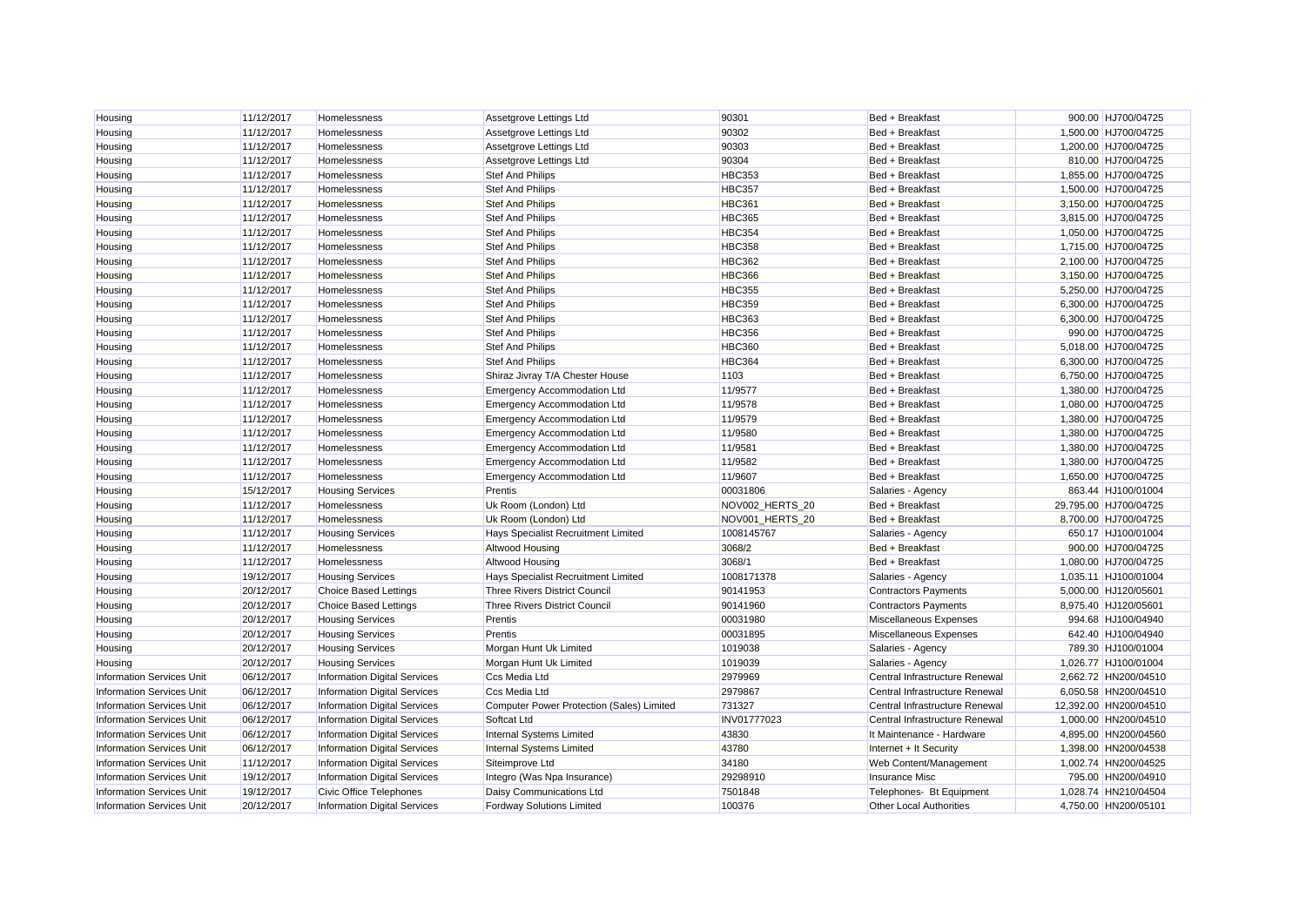| Housing                          | 11/12/2017 | Homelessness                        | Assetgrove Lettings Ltd                   | 90301           | Bed + Breakfast                | 900.00 HJ700/04725    |
|----------------------------------|------------|-------------------------------------|-------------------------------------------|-----------------|--------------------------------|-----------------------|
| Housing                          | 11/12/2017 | Homelessness                        | Assetgrove Lettings Ltd                   | 90302           | Bed + Breakfast                | 1,500.00 HJ700/04725  |
| Housing                          | 11/12/2017 | Homelessness                        | Assetgrove Lettings Ltd                   | 90303           | Bed + Breakfast                | 1,200.00 HJ700/04725  |
| Housing                          | 11/12/2017 | Homelessness                        | Assetgrove Lettings Ltd                   | 90304           | Bed + Breakfast                | 810.00 HJ700/04725    |
| Housing                          | 11/12/2017 | Homelessness                        | <b>Stef And Philips</b>                   | <b>HBC353</b>   | Bed + Breakfast                | 1,855.00 HJ700/04725  |
| Housing                          | 11/12/2017 | Homelessness                        | <b>Stef And Philips</b>                   | <b>HBC357</b>   | Bed + Breakfast                | 1,500.00 HJ700/04725  |
| Housing                          | 11/12/2017 | Homelessness                        | <b>Stef And Philips</b>                   | <b>HBC361</b>   | Bed + Breakfast                | 3,150.00 HJ700/04725  |
| Housing                          | 11/12/2017 | Homelessness                        | <b>Stef And Philips</b>                   | <b>HBC365</b>   | Bed + Breakfast                | 3,815.00 HJ700/04725  |
| Housing                          | 11/12/2017 | Homelessness                        | <b>Stef And Philips</b>                   | <b>HBC354</b>   | Bed + Breakfast                | 1,050.00 HJ700/04725  |
| Housing                          | 11/12/2017 | Homelessness                        | <b>Stef And Philips</b>                   | <b>HBC358</b>   | Bed + Breakfast                | 1,715.00 HJ700/04725  |
| Housing                          | 11/12/2017 | Homelessness                        | <b>Stef And Philips</b>                   | <b>HBC362</b>   | Bed + Breakfast                | 2,100.00 HJ700/04725  |
| Housing                          | 11/12/2017 | Homelessness                        | <b>Stef And Philips</b>                   | <b>HBC366</b>   | Bed + Breakfast                | 3,150.00 HJ700/04725  |
| Housing                          | 11/12/2017 | Homelessness                        | <b>Stef And Philips</b>                   | <b>HBC355</b>   | Bed + Breakfast                | 5,250.00 HJ700/04725  |
| Housing                          | 11/12/2017 | Homelessness                        | <b>Stef And Philips</b>                   | <b>HBC359</b>   | Bed + Breakfast                | 6,300.00 HJ700/04725  |
| Housing                          | 11/12/2017 | Homelessness                        | <b>Stef And Philips</b>                   | <b>HBC363</b>   | Bed + Breakfast                | 6,300.00 HJ700/04725  |
| Housing                          | 11/12/2017 | Homelessness                        | <b>Stef And Philips</b>                   | <b>HBC356</b>   | Bed + Breakfast                | 990.00 HJ700/04725    |
| Housing                          | 11/12/2017 | Homelessness                        | <b>Stef And Philips</b>                   | <b>HBC360</b>   | Bed + Breakfast                | 5,018.00 HJ700/04725  |
| Housing                          | 11/12/2017 | Homelessness                        | <b>Stef And Philips</b>                   | HBC364          | Bed + Breakfast                | 6,300.00 HJ700/04725  |
| Housing                          | 11/12/2017 | Homelessness                        | Shiraz Jivray T/A Chester House           | 1103            | Bed + Breakfast                | 6,750.00 HJ700/04725  |
| Housing                          | 11/12/2017 | Homelessness                        | <b>Emergency Accommodation Ltd</b>        | 11/9577         | Bed + Breakfast                | 1,380.00 HJ700/04725  |
| Housing                          | 11/12/2017 | Homelessness                        | <b>Emergency Accommodation Ltd</b>        | 11/9578         | Bed + Breakfast                | 1,080.00 HJ700/04725  |
| Housing                          | 11/12/2017 | Homelessness                        | <b>Emergency Accommodation Ltd</b>        | 11/9579         | Bed + Breakfast                | 1,380.00 HJ700/04725  |
| Housing                          | 11/12/2017 | Homelessness                        | <b>Emergency Accommodation Ltd</b>        | 11/9580         | Bed + Breakfast                | 1,380.00 HJ700/04725  |
| Housing                          | 11/12/2017 | Homelessness                        | <b>Emergency Accommodation Ltd</b>        | 11/9581         | Bed + Breakfast                | 1,380.00 HJ700/04725  |
| Housing                          | 11/12/2017 | Homelessness                        | <b>Emergency Accommodation Ltd</b>        | 11/9582         | Bed + Breakfast                | 1,380.00 HJ700/04725  |
| Housing                          | 11/12/2017 | Homelessness                        | <b>Emergency Accommodation Ltd</b>        | 11/9607         | Bed + Breakfast                | 1,650.00 HJ700/04725  |
| Housing                          | 15/12/2017 | <b>Housing Services</b>             | Prentis                                   | 00031806        | Salaries - Agency              | 863.44 HJ100/01004    |
| Housing                          | 11/12/2017 | Homelessness                        | Uk Room (London) Ltd                      | NOV002_HERTS_20 | Bed + Breakfast                | 29,795.00 HJ700/04725 |
| Housing                          | 11/12/2017 | Homelessness                        | Uk Room (London) Ltd                      | NOV001 HERTS 20 | Bed + Breakfast                | 8,700.00 HJ700/04725  |
| Housing                          | 11/12/2017 | <b>Housing Services</b>             | Hays Specialist Recruitment Limited       | 1008145767      | Salaries - Agency              | 650.17 HJ100/01004    |
| Housing                          | 11/12/2017 | Homelessness                        | Altwood Housing                           | 3068/2          | Bed + Breakfast                | 900.00 HJ700/04725    |
| Housing                          | 11/12/2017 | Homelessness                        | Altwood Housing                           | 3068/1          | Bed + Breakfast                | 1,080.00 HJ700/04725  |
| Housing                          | 19/12/2017 | <b>Housing Services</b>             | Hays Specialist Recruitment Limited       | 1008171378      | Salaries - Agency              | 1,035.11 HJ100/01004  |
| Housing                          | 20/12/2017 | <b>Choice Based Lettings</b>        | <b>Three Rivers District Council</b>      | 90141953        | <b>Contractors Payments</b>    | 5,000.00 HJ120/05601  |
| Housing                          | 20/12/2017 | <b>Choice Based Lettings</b>        | <b>Three Rivers District Council</b>      | 90141960        | <b>Contractors Payments</b>    | 8,975.40 HJ120/05601  |
| Housing                          | 20/12/2017 | <b>Housing Services</b>             | Prentis                                   | 00031980        | Miscellaneous Expenses         | 994.68 HJ100/04940    |
| Housing                          | 20/12/2017 | <b>Housing Services</b>             | Prentis                                   | 00031895        | Miscellaneous Expenses         | 642.40 HJ100/04940    |
| Housing                          | 20/12/2017 | <b>Housing Services</b>             | Morgan Hunt Uk Limited                    | 1019038         | Salaries - Agency              | 789.30 HJ100/01004    |
| Housing                          | 20/12/2017 | <b>Housing Services</b>             | Morgan Hunt Uk Limited                    | 1019039         | Salaries - Agency              | 1,026.77 HJ100/01004  |
| <b>Information Services Unit</b> | 06/12/2017 | <b>Information Digital Services</b> | <b>Ccs Media Ltd</b>                      | 2979969         | Central Infrastructure Renewal | 2,662.72 HN200/04510  |
| <b>Information Services Unit</b> | 06/12/2017 | <b>Information Digital Services</b> | Ccs Media Ltd                             | 2979867         | Central Infrastructure Renewal | 6,050.58 HN200/04510  |
| <b>Information Services Unit</b> | 06/12/2017 | <b>Information Digital Services</b> | Computer Power Protection (Sales) Limited | 731327          | Central Infrastructure Renewal | 12,392.00 HN200/04510 |
| <b>Information Services Unit</b> | 06/12/2017 | <b>Information Digital Services</b> | Softcat Ltd                               | INV01777023     | Central Infrastructure Renewal | 1,000.00 HN200/04510  |
| <b>Information Services Unit</b> | 06/12/2017 | <b>Information Digital Services</b> | Internal Systems Limited                  | 43830           | It Maintenance - Hardware      | 4,895.00 HN200/04560  |
| <b>Information Services Unit</b> | 06/12/2017 | <b>Information Digital Services</b> | <b>Internal Systems Limited</b>           | 43780           | Internet + It Security         | 1,398.00 HN200/04538  |
| <b>Information Services Unit</b> | 11/12/2017 | <b>Information Digital Services</b> | Siteimprove Ltd                           | 34180           | Web Content/Management         | 1,002.74 HN200/04525  |
| <b>Information Services Unit</b> | 19/12/2017 | <b>Information Digital Services</b> | Integro (Was Npa Insurance)               | 29298910        | <b>Insurance Misc</b>          | 795.00 HN200/04910    |
| <b>Information Services Unit</b> | 19/12/2017 | Civic Office Telephones             | Daisy Communications Ltd                  | 7501848         | Telephones- Bt Equipment       | 1.028.74 HN210/04504  |
| <b>Information Services Unit</b> | 20/12/2017 | <b>Information Digital Services</b> | <b>Fordway Solutions Limited</b>          | 100376          | <b>Other Local Authorities</b> | 4.750.00 HN200/05101  |
|                                  |            |                                     |                                           |                 |                                |                       |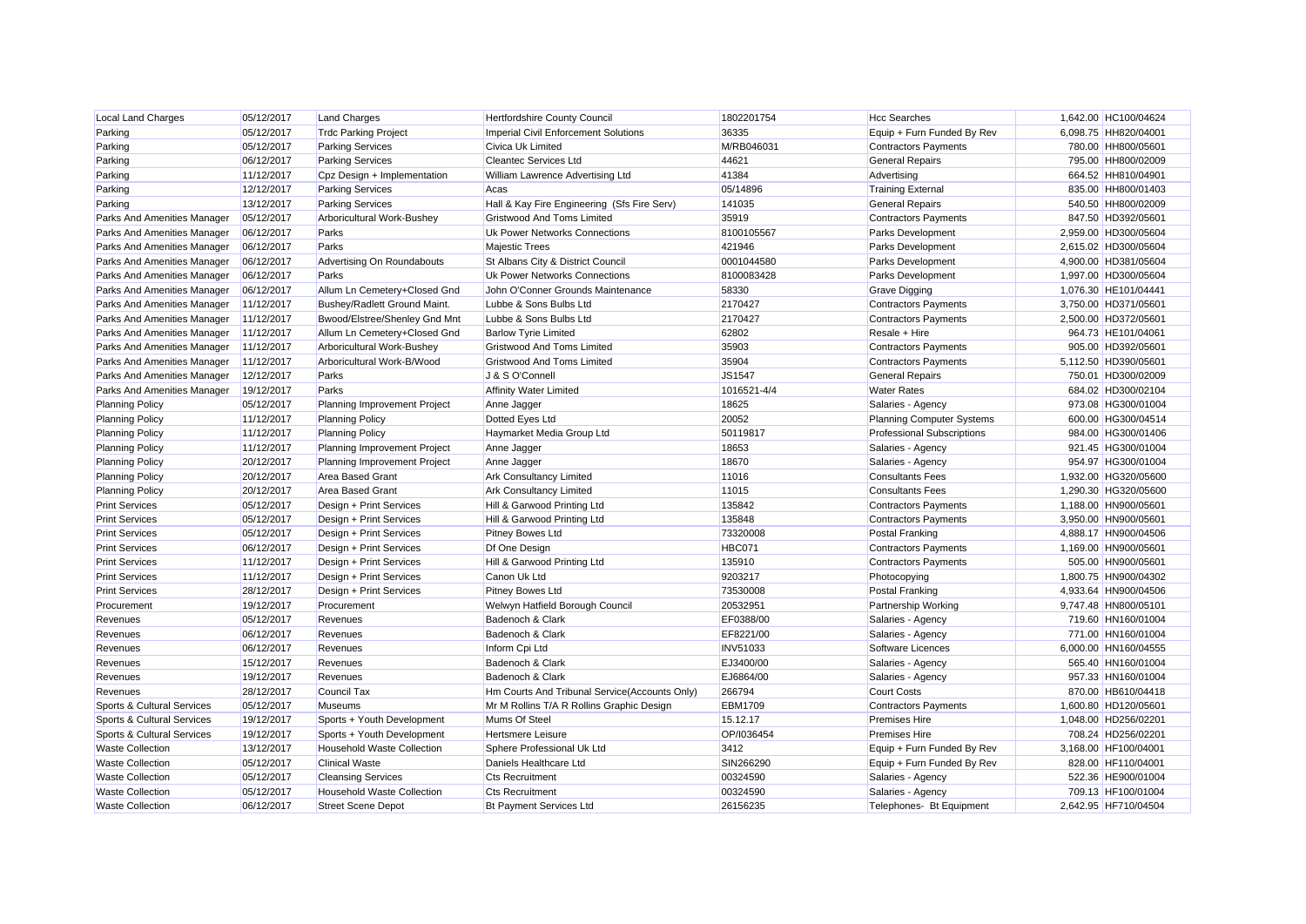| <b>Local Land Charges</b>   | 05/12/2017               | <b>Land Charges</b>               | Hertfordshire County Council                                     | 1802201754          | <b>Hcc Searches</b>               | 1,642.00 HC100/04624                       |
|-----------------------------|--------------------------|-----------------------------------|------------------------------------------------------------------|---------------------|-----------------------------------|--------------------------------------------|
| Parking                     | 05/12/2017               | <b>Trdc Parking Project</b>       | Imperial Civil Enforcement Solutions<br><b>Civica Uk Limited</b> | 36335<br>M/RB046031 | Equip + Furn Funded By Rev        | 6,098.75 HH820/04001                       |
| Parking                     | 05/12/2017               | <b>Parking Services</b>           |                                                                  |                     | <b>Contractors Payments</b>       | 780.00 HH800/05601                         |
| Parking                     | 06/12/2017               | <b>Parking Services</b>           | <b>Cleantec Services Ltd</b>                                     | 44621               | <b>General Repairs</b>            | 795.00 HH800/02009                         |
| Parking                     | 11/12/2017               | Cpz Design + Implementation       | William Lawrence Advertising Ltd                                 | 41384               | Advertising                       | 664.52 HH810/04901                         |
| Parking                     | 12/12/2017               | <b>Parking Services</b>           | Acas                                                             | 05/14896            | <b>Training External</b>          | 835.00 HH800/01403                         |
| Parking                     | 13/12/2017               | <b>Parking Services</b>           | Hall & Kay Fire Engineering (Sfs Fire Serv)                      | 141035              | <b>General Repairs</b>            | 540.50 HH800/02009                         |
| Parks And Amenities Manager | 05/12/2017               | Arboricultural Work-Bushey        | <b>Gristwood And Toms Limited</b>                                | 35919               | <b>Contractors Payments</b>       | 847.50 HD392/05601                         |
| Parks And Amenities Manager | 06/12/2017               | Parks                             | Uk Power Networks Connections                                    | 8100105567          | <b>Parks Development</b>          | 2,959.00 HD300/05604                       |
| Parks And Amenities Manager | 06/12/2017               | Parks                             | <b>Majestic Trees</b>                                            | 421946              | Parks Development                 | 2,615.02 HD300/05604                       |
| Parks And Amenities Manager | 06/12/2017               | Advertising On Roundabouts        | St Albans City & District Council                                | 0001044580          | <b>Parks Development</b>          | 4,900.00 HD381/05604                       |
| Parks And Amenities Manager | 06/12/2017               | Parks                             | Uk Power Networks Connections                                    | 8100083428          | Parks Development                 | 1,997.00 HD300/05604                       |
| Parks And Amenities Manager | 06/12/2017               | Allum Ln Cemetery+Closed Gnd      | John O'Conner Grounds Maintenance                                | 58330               | <b>Grave Digging</b>              | 1,076.30 HE101/04441                       |
| Parks And Amenities Manager | 11/12/2017               | Bushey/Radlett Ground Maint.      | Lubbe & Sons Bulbs Ltd                                           | 2170427             | Contractors Payments              | 3,750.00 HD371/05601                       |
| Parks And Amenities Manager | 11/12/2017               | Bwood/Elstree/Shenley Gnd Mnt     | Lubbe & Sons Bulbs Ltd                                           | 2170427             | <b>Contractors Payments</b>       | 2,500.00 HD372/05601                       |
| Parks And Amenities Manager | 11/12/2017               | Allum Ln Cemetery+Closed Gnd      | <b>Barlow Tyrie Limited</b>                                      | 62802               | Resale + Hire                     | 964.73 HE101/04061                         |
| Parks And Amenities Manager | 11/12/2017               | Arboricultural Work-Bushey        | <b>Gristwood And Toms Limited</b>                                | 35903               | <b>Contractors Payments</b>       | 905.00 HD392/05601                         |
| Parks And Amenities Manager | 11/12/2017               | Arboricultural Work-B/Wood        | <b>Gristwood And Toms Limited</b>                                | 35904               | <b>Contractors Payments</b>       | 5.112.50 HD390/05601                       |
| Parks And Amenities Manager | 12/12/2017               | Parks                             | J & S O'Connell                                                  | <b>JS1547</b>       | <b>General Repairs</b>            | 750.01 HD300/02009                         |
| Parks And Amenities Manager | 19/12/2017               | Parks                             | <b>Affinity Water Limited</b>                                    | 1016521-4/4         | <b>Water Rates</b>                | 684.02 HD300/02104                         |
| <b>Planning Policy</b>      | 05/12/2017               | Planning Improvement Project      | Anne Jagger                                                      | 18625               | Salaries - Agency                 | 973.08 HG300/01004                         |
| <b>Planning Policy</b>      | 11/12/2017               | <b>Planning Policy</b>            | Dotted Eyes Ltd                                                  | 20052               | <b>Planning Computer Systems</b>  | 600.00 HG300/04514                         |
| <b>Planning Policy</b>      | 11/12/2017               | <b>Planning Policy</b>            | Haymarket Media Group Ltd                                        | 50119817            | <b>Professional Subscriptions</b> | 984.00 HG300/01406                         |
| <b>Planning Policy</b>      | 11/12/2017               | Planning Improvement Project      | Anne Jagger                                                      | 18653               | Salaries - Agency                 | 921.45 HG300/01004                         |
| <b>Planning Policy</b>      | 20/12/2017               | Planning Improvement Project      | Anne Jagger                                                      | 18670               | Salaries - Agency                 | 954.97 HG300/01004                         |
| <b>Planning Policy</b>      | 20/12/2017               | <b>Area Based Grant</b>           | <b>Ark Consultancy Limited</b>                                   | 11016               | <b>Consultants Fees</b>           | 1,932.00 HG320/05600                       |
| <b>Planning Policy</b>      | 20/12/2017               | <b>Area Based Grant</b>           | <b>Ark Consultancy Limited</b>                                   | 11015               | <b>Consultants Fees</b>           | 1,290.30 HG320/05600                       |
| <b>Print Services</b>       | 05/12/2017               | Design + Print Services           | Hill & Garwood Printing Ltd                                      | 135842              | <b>Contractors Payments</b>       | 1,188.00 HN900/05601                       |
| <b>Print Services</b>       | 05/12/2017               | Design + Print Services           | Hill & Garwood Printing Ltd                                      | 135848              | <b>Contractors Payments</b>       | 3,950.00 HN900/05601                       |
| <b>Print Services</b>       | 05/12/2017               | Design + Print Services           | <b>Pitney Bowes Ltd</b>                                          | 73320008            | Postal Franking                   | 4,888.17 HN900/04506                       |
| <b>Print Services</b>       | 06/12/2017               | Design + Print Services           | Df One Design                                                    | HBC071              | <b>Contractors Payments</b>       | 1,169.00 HN900/05601                       |
| <b>Print Services</b>       | 11/12/2017               | Design + Print Services           | Hill & Garwood Printing Ltd                                      | 135910              | <b>Contractors Payments</b>       | 505.00 HN900/05601                         |
| <b>Print Services</b>       | 11/12/2017               | Design + Print Services           | Canon Uk Ltd                                                     | 9203217             | Photocopying                      | 1,800.75 HN900/04302                       |
| <b>Print Services</b>       | 28/12/2017               | Design + Print Services           | <b>Pitney Bowes Ltd</b>                                          | 73530008            | Postal Franking                   | 4,933.64 HN900/04506                       |
| Procurement                 | 19/12/2017               | Procurement                       | Welwyn Hatfield Borough Council                                  | 20532951            | <b>Partnership Working</b>        | 9,747.48 HN800/05101                       |
| Revenues                    | 05/12/2017               | Revenues                          | Badenoch & Clark                                                 | EF0388/00           | Salaries - Agency                 | 719.60 HN160/01004                         |
| Revenues                    | 06/12/2017               | Revenues                          | Badenoch & Clark                                                 | EF8221/00           | Salaries - Agency                 | 771.00 HN160/01004                         |
| Revenues                    | 06/12/2017               | Revenues                          | Inform Cpi Ltd                                                   | <b>INV51033</b>     | Software Licences                 | 6,000.00 HN160/04555                       |
| Revenues                    | 15/12/2017               | Revenues                          | Badenoch & Clark                                                 | EJ3400/00           | Salaries - Agency                 | 565.40 HN160/01004                         |
| Revenues                    | 19/12/2017               | Revenues                          | Badenoch & Clark                                                 | EJ6864/00           | Salaries - Agency                 | 957.33 HN160/01004                         |
| Revenues                    | 28/12/2017               | Council Tax                       | Hm Courts And Tribunal Service(Accounts Only)                    | 266794              | <b>Court Costs</b>                | 870.00 HB610/04418                         |
| Sports & Cultural Services  | 05/12/2017               | <b>Museums</b>                    | Mr M Rollins T/A R Rollins Graphic Design                        | <b>EBM1709</b>      | <b>Contractors Payments</b>       | 1,600.80 HD120/05601                       |
|                             |                          |                                   | Mums Of Steel                                                    | 15.12.17            | <b>Premises Hire</b>              |                                            |
| Sports & Cultural Services  | 19/12/2017<br>19/12/2017 | Sports + Youth Development        | <b>Hertsmere Leisure</b>                                         | OP/I036454          | <b>Premises Hire</b>              | 1,048.00 HD256/02201<br>708.24 HD256/02201 |
| Sports & Cultural Services  |                          | Sports + Youth Development        |                                                                  |                     |                                   |                                            |
| <b>Waste Collection</b>     | 13/12/2017               | <b>Household Waste Collection</b> | Sphere Professional Uk Ltd                                       | 3412                | Equip + Furn Funded By Rev        | 3,168.00 HF100/04001                       |
| <b>Waste Collection</b>     | 05/12/2017               | <b>Clinical Waste</b>             | Daniels Healthcare Ltd                                           | SIN266290           | Equip + Furn Funded By Rev        | 828.00 HF110/04001                         |
| <b>Waste Collection</b>     | 05/12/2017               | <b>Cleansing Services</b>         | <b>Cts Recruitment</b>                                           | 00324590            | Salaries - Agency                 | 522.36 HE900/01004                         |
| <b>Waste Collection</b>     | 05/12/2017               | <b>Household Waste Collection</b> | <b>Cts Recruitment</b>                                           | 00324590            | Salaries - Agency                 | 709.13 HF100/01004                         |
| <b>Waste Collection</b>     | 06/12/2017               | <b>Street Scene Depot</b>         | <b>Bt Payment Services Ltd</b>                                   | 26156235            | Telephones- Bt Equipment          | 2.642.95 HF710/04504                       |